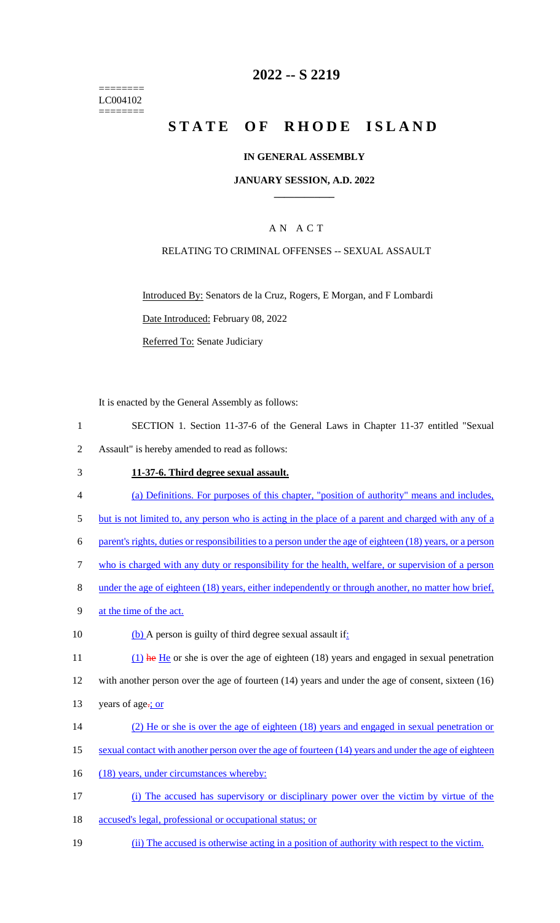======== LC004102 ========

## **2022 -- S 2219**

# **STATE OF RHODE ISLAND**

#### **IN GENERAL ASSEMBLY**

#### **JANUARY SESSION, A.D. 2022 \_\_\_\_\_\_\_\_\_\_\_\_**

### A N A C T

#### RELATING TO CRIMINAL OFFENSES -- SEXUAL ASSAULT

Introduced By: Senators de la Cruz, Rogers, E Morgan, and F Lombardi Date Introduced: February 08, 2022 Referred To: Senate Judiciary

It is enacted by the General Assembly as follows:

- 1 SECTION 1. Section 11-37-6 of the General Laws in Chapter 11-37 entitled "Sexual 2 Assault" is hereby amended to read as follows:
- 3 **11-37-6. Third degree sexual assault.**
- 4 (a) Definitions. For purposes of this chapter, "position of authority" means and includes,
- 5 but is not limited to, any person who is acting in the place of a parent and charged with any of a
- 6 parent's rights, duties or responsibilities to a person under the age of eighteen (18) years, or a person
- 7 who is charged with any duty or responsibility for the health, welfare, or supervision of a person
- 8 under the age of eighteen (18) years, either independently or through another, no matter how brief,
- 9 at the time of the act.
- 10 (b) A person is guilty of third degree sexual assault if:

11 (1) he He or she is over the age of eighteen (18) years and engaged in sexual penetration 12 with another person over the age of fourteen (14) years and under the age of consent, sixteen (16)

- 13 years of age-; or
- 14 (2) He or she is over the age of eighteen (18) years and engaged in sexual penetration or
- 15 sexual contact with another person over the age of fourteen (14) years and under the age of eighteen
- 16 (18) years, under circumstances whereby:
- 17 (i) The accused has supervisory or disciplinary power over the victim by virtue of the
- 18 accused's legal, professional or occupational status; or
- 19 (ii) The accused is otherwise acting in a position of authority with respect to the victim.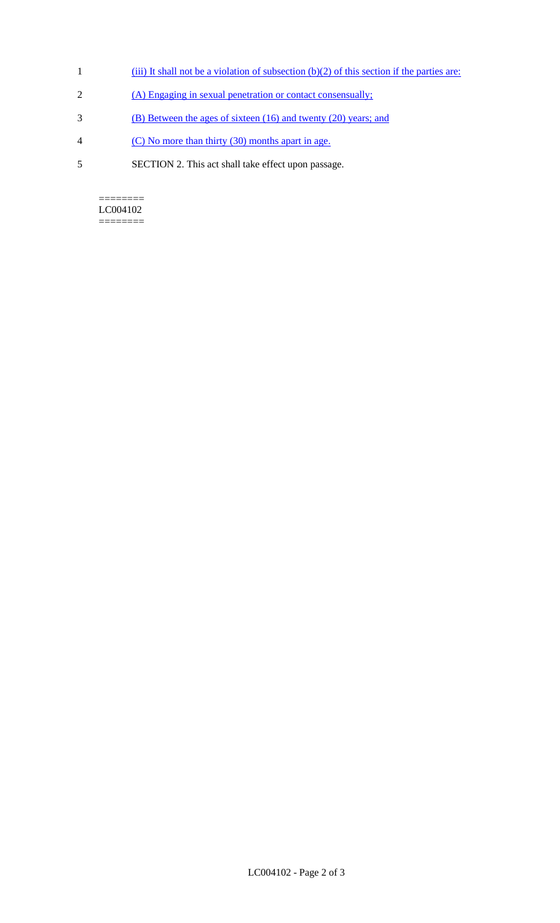- 1 (iii) It shall not be a violation of subsection (b)(2) of this section if the parties are:
- 2 (A) Engaging in sexual penetration or contact consensually;
- 3 (B) Between the ages of sixteen (16) and twenty (20) years; and
- 4 (C) No more than thirty (30) months apart in age.
- 5 SECTION 2. This act shall take effect upon passage.

 $=$ LC004102 ========